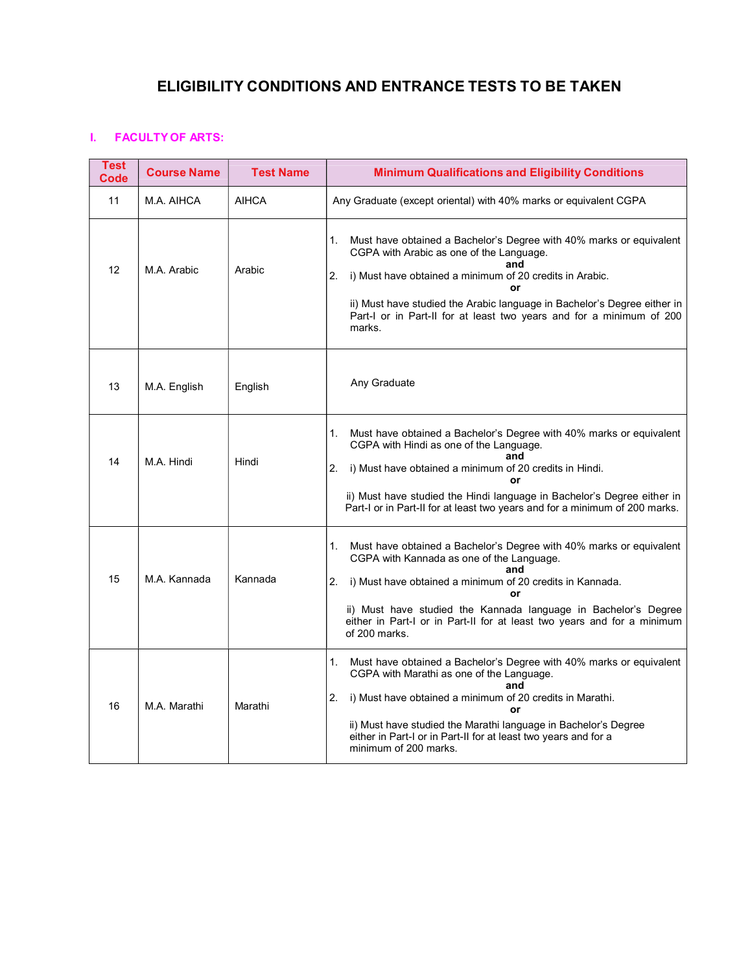# ELIGIBILITY CONDITIONS AND ENTRANCE TESTS TO BE TAKEN

## I. FACULTY OF ARTS:

| <b>Test</b><br>Code | <b>Course Name</b> | <b>Test Name</b> | <b>Minimum Qualifications and Eligibility Conditions</b>                                                                                                                                                                                                                                                                                                              |
|---------------------|--------------------|------------------|-----------------------------------------------------------------------------------------------------------------------------------------------------------------------------------------------------------------------------------------------------------------------------------------------------------------------------------------------------------------------|
| 11                  | M.A. AIHCA         | <b>AIHCA</b>     | Any Graduate (except oriental) with 40% marks or equivalent CGPA                                                                                                                                                                                                                                                                                                      |
| 12                  | M.A. Arabic        | Arabic           | Must have obtained a Bachelor's Degree with 40% marks or equivalent<br>$1_{-}$<br>CGPA with Arabic as one of the Language.<br>i) Must have obtained a minimum of 20 credits in Arabic.<br>2.<br>or<br>ii) Must have studied the Arabic language in Bachelor's Degree either in<br>Part-I or in Part-II for at least two years and for a minimum of 200<br>marks.      |
| 13                  | M.A. English       | English          | Any Graduate                                                                                                                                                                                                                                                                                                                                                          |
| 14                  | M.A. Hindi         | Hindi            | Must have obtained a Bachelor's Degree with 40% marks or equivalent<br>1.<br>CGPA with Hindi as one of the Language.<br>and<br>i) Must have obtained a minimum of 20 credits in Hindi.<br>2.<br>or<br>ii) Must have studied the Hindi language in Bachelor's Degree either in<br>Part-I or in Part-II for at least two years and for a minimum of 200 marks.          |
| 15                  | M.A. Kannada       | Kannada          | Must have obtained a Bachelor's Degree with 40% marks or equivalent<br>1.<br>CGPA with Kannada as one of the Language.<br>and<br>i) Must have obtained a minimum of 20 credits in Kannada.<br>2.<br>or<br>ii) Must have studied the Kannada language in Bachelor's Degree<br>either in Part-I or in Part-II for at least two years and for a minimum<br>of 200 marks. |
| 16                  | M.A. Marathi       | Marathi          | Must have obtained a Bachelor's Degree with 40% marks or equivalent<br>1.<br>CGPA with Marathi as one of the Language.<br>and<br>i) Must have obtained a minimum of 20 credits in Marathi.<br>2.<br>or<br>ii) Must have studied the Marathi language in Bachelor's Degree<br>either in Part-I or in Part-II for at least two years and for a<br>minimum of 200 marks. |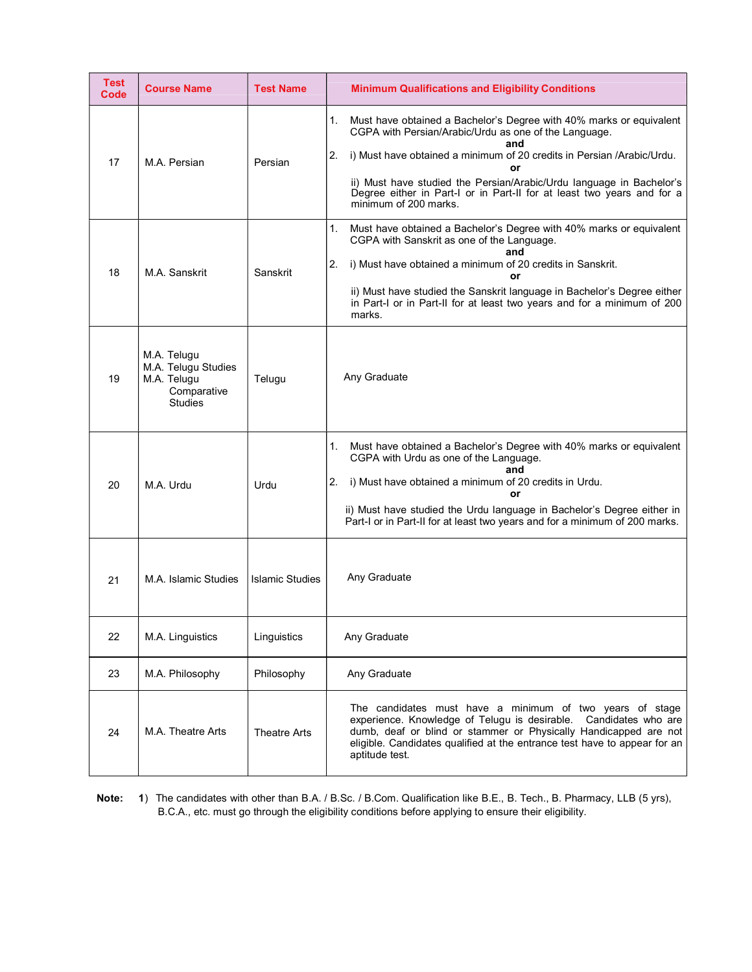| <b>Test</b><br>Code | <b>Course Name</b>                                                                 | <b>Test Name</b>       | <b>Minimum Qualifications and Eligibility Conditions</b>                                                                                                                                                                                                                                                                                                                                                   |
|---------------------|------------------------------------------------------------------------------------|------------------------|------------------------------------------------------------------------------------------------------------------------------------------------------------------------------------------------------------------------------------------------------------------------------------------------------------------------------------------------------------------------------------------------------------|
| 17                  | M.A. Persian                                                                       | Persian                | Must have obtained a Bachelor's Degree with 40% marks or equivalent<br>1.<br>CGPA with Persian/Arabic/Urdu as one of the Language.<br>and<br>i) Must have obtained a minimum of 20 credits in Persian /Arabic/Urdu.<br>2.<br>or<br>ii) Must have studied the Persian/Arabic/Urdu language in Bachelor's<br>Degree either in Part-I or in Part-II for at least two years and for a<br>minimum of 200 marks. |
| 18                  | M.A. Sanskrit                                                                      | Sanskrit               | 1.<br>Must have obtained a Bachelor's Degree with 40% marks or equivalent<br>CGPA with Sanskrit as one of the Language.<br>and<br>i) Must have obtained a minimum of 20 credits in Sanskrit.<br>2.<br>or<br>ii) Must have studied the Sanskrit language in Bachelor's Degree either<br>in Part-I or in Part-II for at least two years and for a minimum of 200<br>marks.                                   |
| 19                  | M.A. Telugu<br>M.A. Telugu Studies<br>M.A. Telugu<br>Comparative<br><b>Studies</b> | Telugu                 | Any Graduate                                                                                                                                                                                                                                                                                                                                                                                               |
| 20                  | M.A. Urdu                                                                          | Urdu                   | Must have obtained a Bachelor's Degree with 40% marks or equivalent<br>1.<br>CGPA with Urdu as one of the Language.<br>and<br>i) Must have obtained a minimum of 20 credits in Urdu.<br>2.<br>or<br>ii) Must have studied the Urdu language in Bachelor's Degree either in<br>Part-I or in Part-II for at least two years and for a minimum of 200 marks.                                                  |
| 21                  | M.A. Islamic Studies                                                               | <b>Islamic Studies</b> | Any Graduate                                                                                                                                                                                                                                                                                                                                                                                               |
| 22                  | M.A. Linguistics                                                                   | Linguistics            | Any Graduate                                                                                                                                                                                                                                                                                                                                                                                               |
| 23                  | M.A. Philosophy                                                                    | Philosophy             | Any Graduate                                                                                                                                                                                                                                                                                                                                                                                               |
| 24                  | M.A. Theatre Arts                                                                  | <b>Theatre Arts</b>    | The candidates must have a minimum of two years of stage<br>experience. Knowledge of Telugu is desirable.<br>Candidates who are<br>dumb, deaf or blind or stammer or Physically Handicapped are not<br>eligible. Candidates qualified at the entrance test have to appear for an<br>aptitude test.                                                                                                         |

Note: 1) The candidates with other than B.A. / B.Sc. / B.Com. Qualification like B.E., B. Tech., B. Pharmacy, LLB (5 yrs), B.C.A., etc. must go through the eligibility conditions before applying to ensure their eligibility.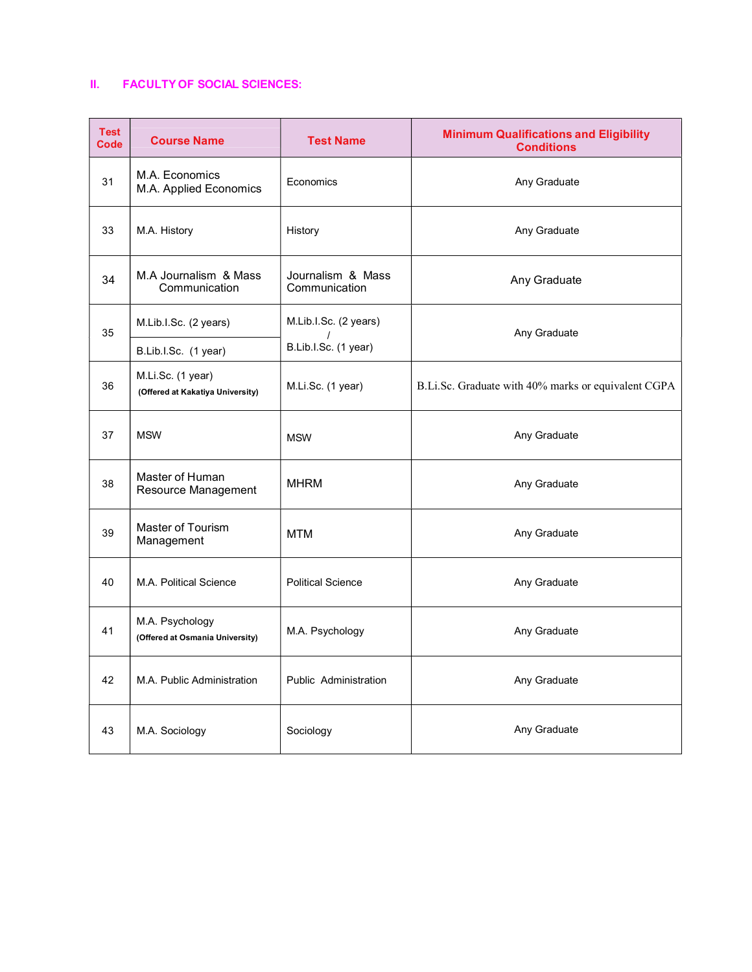# II. FACULTY OF SOCIAL SCIENCES:

| <b>Test</b><br><b>Code</b> | <b>Course Name</b>                                    | <b>Test Name</b>                   | <b>Minimum Qualifications and Eligibility</b><br><b>Conditions</b> |
|----------------------------|-------------------------------------------------------|------------------------------------|--------------------------------------------------------------------|
| 31                         | M.A. Economics<br>M.A. Applied Economics              | Economics                          | Any Graduate                                                       |
| 33                         | M.A. History                                          | History                            | Any Graduate                                                       |
| 34                         | M.A Journalism & Mass<br>Communication                | Journalism & Mass<br>Communication | Any Graduate                                                       |
| 35                         | M.Lib.I.Sc. (2 years)                                 | M.Lib.I.Sc. (2 years)              | Any Graduate                                                       |
|                            | B.Lib.I.Sc. (1 year)                                  | B.Lib.I.Sc. (1 year)               |                                                                    |
| 36                         | M.Li.Sc. (1 year)<br>(Offered at Kakatiya University) | M.Li.Sc. (1 year)                  | B.Li.Sc. Graduate with 40% marks or equivalent CGPA                |
| 37                         | <b>MSW</b>                                            | <b>MSW</b>                         | Any Graduate                                                       |
| 38                         | Master of Human<br>Resource Management                | <b>MHRM</b>                        | Any Graduate                                                       |
| 39                         | Master of Tourism<br>Management                       | MTM                                | Any Graduate                                                       |
| 40                         | M.A. Political Science                                | <b>Political Science</b>           | Any Graduate                                                       |
| 41                         | M.A. Psychology<br>(Offered at Osmania University)    | M.A. Psychology                    | Any Graduate                                                       |
| 42                         | M.A. Public Administration                            | Public Administration              | Any Graduate                                                       |
| 43                         | M.A. Sociology                                        | Sociology                          | Any Graduate                                                       |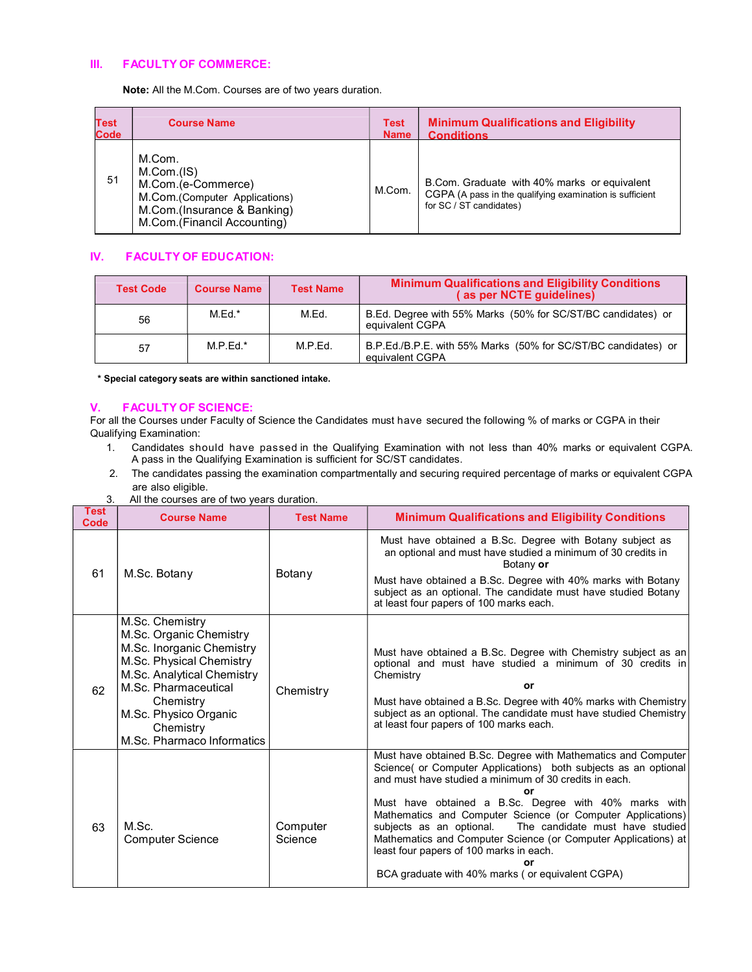#### III. FACULTY OF COMMERCE:

Note: All the M.Com. Courses are of two years duration.

| Test        | <b>Course Name</b>                                                                                                                        | <b>Test</b> | <b>Minimum Qualifications and Eligibility</b>                                                                                       |
|-------------|-------------------------------------------------------------------------------------------------------------------------------------------|-------------|-------------------------------------------------------------------------------------------------------------------------------------|
| <b>Code</b> |                                                                                                                                           | <b>Name</b> | <b>Conditions</b>                                                                                                                   |
| 51          | M.Com.<br>M.Com.(IS)<br>M.Com.(e-Commerce)<br>M.Com.(Computer Applications)<br>M.Com.(Insurance & Banking)<br>M.Com.(Financil Accounting) | M.Com.      | B.Com. Graduate with 40% marks or equivalent<br>CGPA (A pass in the qualifying examination is sufficient<br>for SC / ST candidates) |

### IV. FACULTY OF EDUCATION:

| <b>Test Code</b> | <b>Course Name</b> | <b>Test Name</b> | <b>Minimum Qualifications and Eligibility Conditions</b><br>(as per NCTE quidelines) |  |
|------------------|--------------------|------------------|--------------------------------------------------------------------------------------|--|
| 56               | $M.Ed.*$           | M.Ed.            | B.Ed. Degree with 55% Marks (50% for SC/ST/BC candidates) or<br>equivalent CGPA      |  |
| 57               | $M.P.Ed.*$         | M.P.Ed.          | B.P.Ed./B.P.E. with 55% Marks (50% for SC/ST/BC candidates) or<br>equivalent CGPA    |  |

\* Special category seats are within sanctioned intake.

### V. FACULTY OF SCIENCE:

For all the Courses under Faculty of Science the Candidates must have secured the following % of marks or CGPA in their Qualifying Examination:

- 1. Candidates should have passed in the Qualifying Examination with not less than 40% marks or equivalent CGPA. A pass in the Qualifying Examination is sufficient for SC/ST candidates.
- 2. The candidates passing the examination compartmentally and securing required percentage of marks or equivalent CGPA are also eligible.
- 3. All the courses are of two years duration.

| <b>Test</b><br>Code | <b>Course Name</b>                                                                                                                                                                                                                         | <b>Test Name</b>    | <b>Minimum Qualifications and Eligibility Conditions</b>                                                                                                                                                                                                                                                                                                                                                                                                                                                                                                       |
|---------------------|--------------------------------------------------------------------------------------------------------------------------------------------------------------------------------------------------------------------------------------------|---------------------|----------------------------------------------------------------------------------------------------------------------------------------------------------------------------------------------------------------------------------------------------------------------------------------------------------------------------------------------------------------------------------------------------------------------------------------------------------------------------------------------------------------------------------------------------------------|
| 61                  | M.Sc. Botany                                                                                                                                                                                                                               | Botany              | Must have obtained a B.Sc. Degree with Botany subject as<br>an optional and must have studied a minimum of 30 credits in<br>Botany or<br>Must have obtained a B.Sc. Degree with 40% marks with Botany<br>subject as an optional. The candidate must have studied Botany<br>at least four papers of 100 marks each.                                                                                                                                                                                                                                             |
| 62                  | M.Sc. Chemistry<br>M.Sc. Organic Chemistry<br>M.Sc. Inorganic Chemistry<br>M.Sc. Physical Chemistry<br>M.Sc. Analytical Chemistry<br>M.Sc. Pharmaceutical<br>Chemistry<br>M.Sc. Physico Organic<br>Chemistry<br>M.Sc. Pharmaco Informatics | Chemistry           | Must have obtained a B.Sc. Degree with Chemistry subject as an<br>optional and must have studied a minimum of 30 credits in<br>Chemistry<br>or<br>Must have obtained a B.Sc. Degree with 40% marks with Chemistry<br>subject as an optional. The candidate must have studied Chemistry<br>at least four papers of 100 marks each.                                                                                                                                                                                                                              |
| 63                  | M.Sc.<br><b>Computer Science</b>                                                                                                                                                                                                           | Computer<br>Science | Must have obtained B.Sc. Degree with Mathematics and Computer<br>Science( or Computer Applications) both subjects as an optional<br>and must have studied a minimum of 30 credits in each.<br>or<br>Must have obtained a B.Sc. Degree with 40% marks with<br>Mathematics and Computer Science (or Computer Applications)<br>subjects as an optional.<br>The candidate must have studied<br>Mathematics and Computer Science (or Computer Applications) at<br>least four papers of 100 marks in each.<br>nr<br>BCA graduate with 40% marks (or equivalent CGPA) |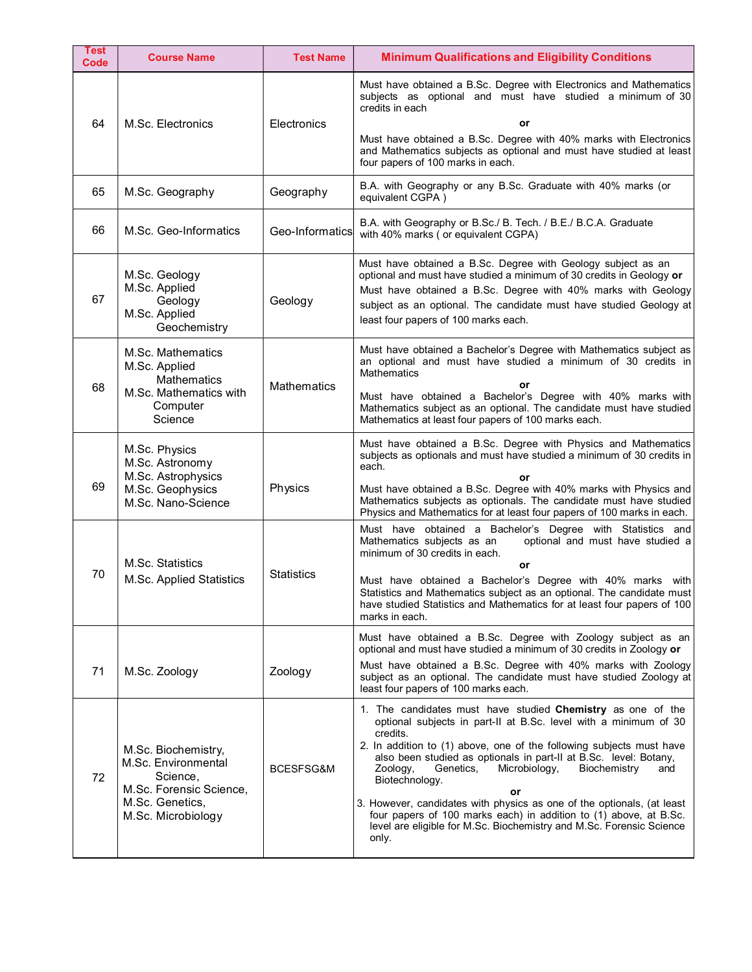| Test<br>Code | <b>Course Name</b>                                                                                   | <b>Test Name</b>   | <b>Minimum Qualifications and Eligibility Conditions</b>                                                                                                                                                                                                                                                                                                                                                                                                    |
|--------------|------------------------------------------------------------------------------------------------------|--------------------|-------------------------------------------------------------------------------------------------------------------------------------------------------------------------------------------------------------------------------------------------------------------------------------------------------------------------------------------------------------------------------------------------------------------------------------------------------------|
| 64           | M.Sc. Electronics                                                                                    | Electronics        | Must have obtained a B.Sc. Degree with Electronics and Mathematics<br>subjects as optional and must have studied a minimum of 30<br>credits in each<br>or                                                                                                                                                                                                                                                                                                   |
|              |                                                                                                      |                    | Must have obtained a B.Sc. Degree with 40% marks with Electronics<br>and Mathematics subjects as optional and must have studied at least<br>four papers of 100 marks in each.                                                                                                                                                                                                                                                                               |
| 65           | M.Sc. Geography                                                                                      | Geography          | B.A. with Geography or any B.Sc. Graduate with 40% marks (or<br>equivalent CGPA)                                                                                                                                                                                                                                                                                                                                                                            |
| 66           | M.Sc. Geo-Informatics                                                                                | Geo-Informatics    | B.A. with Geography or B.Sc./ B. Tech. / B.E./ B.C.A. Graduate<br>with 40% marks (or equivalent CGPA)                                                                                                                                                                                                                                                                                                                                                       |
| 67           | M.Sc. Geology<br>M.Sc. Applied<br>Geology<br>M.Sc. Applied<br>Geochemistry                           | Geology            | Must have obtained a B.Sc. Degree with Geology subject as an<br>optional and must have studied a minimum of 30 credits in Geology or<br>Must have obtained a B.Sc. Degree with 40% marks with Geology<br>subject as an optional. The candidate must have studied Geology at<br>least four papers of 100 marks each.                                                                                                                                         |
| 68           | M.Sc. Mathematics<br>M.Sc. Applied<br><b>Mathematics</b><br>M.Sc. Mathematics with                   | <b>Mathematics</b> | Must have obtained a Bachelor's Degree with Mathematics subject as<br>an optional and must have studied a minimum of 30 credits in<br><b>Mathematics</b><br>or<br>Must have obtained a Bachelor's Degree with 40% marks with                                                                                                                                                                                                                                |
|              | Computer<br>Science                                                                                  |                    | Mathematics subject as an optional. The candidate must have studied<br>Mathematics at least four papers of 100 marks each.                                                                                                                                                                                                                                                                                                                                  |
| 69           | M.Sc. Physics<br>M.Sc. Astronomy<br>M.Sc. Astrophysics                                               | Physics            | Must have obtained a B.Sc. Degree with Physics and Mathematics<br>subjects as optionals and must have studied a minimum of 30 credits in<br>each.<br>or                                                                                                                                                                                                                                                                                                     |
|              | M.Sc. Geophysics<br>M.Sc. Nano-Science                                                               |                    | Must have obtained a B.Sc. Degree with 40% marks with Physics and<br>Mathematics subjects as optionals. The candidate must have studied<br>Physics and Mathematics for at least four papers of 100 marks in each.                                                                                                                                                                                                                                           |
| 70           | M.Sc. Statistics                                                                                     | <b>Statistics</b>  | Must have obtained a Bachelor's Degree with Statistics and<br>Mathematics subjects as an<br>optional and must have studied a<br>minimum of 30 credits in each.<br>or                                                                                                                                                                                                                                                                                        |
|              | M.Sc. Applied Statistics                                                                             |                    | Must have obtained a Bachelor's Degree with 40% marks with<br>Statistics and Mathematics subject as an optional. The candidate must<br>have studied Statistics and Mathematics for at least four papers of 100<br>marks in each.                                                                                                                                                                                                                            |
|              |                                                                                                      |                    | Must have obtained a B.Sc. Degree with Zoology subject as an<br>optional and must have studied a minimum of 30 credits in Zoology or                                                                                                                                                                                                                                                                                                                        |
| 71           | M.Sc. Zoology                                                                                        | Zoology            | Must have obtained a B.Sc. Degree with 40% marks with Zoology<br>subject as an optional. The candidate must have studied Zoology at<br>least four papers of 100 marks each.                                                                                                                                                                                                                                                                                 |
| 72           | M.Sc. Biochemistry,<br>M.Sc. Environmental<br>Science,<br>M.Sc. Forensic Science,<br>M.Sc. Genetics, | BCESFSG&M          | 1. The candidates must have studied Chemistry as one of the<br>optional subjects in part-II at B.Sc. level with a minimum of 30<br>credits.<br>2. In addition to (1) above, one of the following subjects must have<br>also been studied as optionals in part-II at B.Sc. level: Botany,<br>Microbiology,<br>Biochemistry<br>Zoology,<br>Genetics,<br>and<br>Biotechnology.<br>or<br>3. However, candidates with physics as one of the optionals, (at least |
|              | M.Sc. Microbiology                                                                                   |                    | four papers of 100 marks each) in addition to (1) above, at B.Sc.<br>level are eligible for M.Sc. Biochemistry and M.Sc. Forensic Science<br>only.                                                                                                                                                                                                                                                                                                          |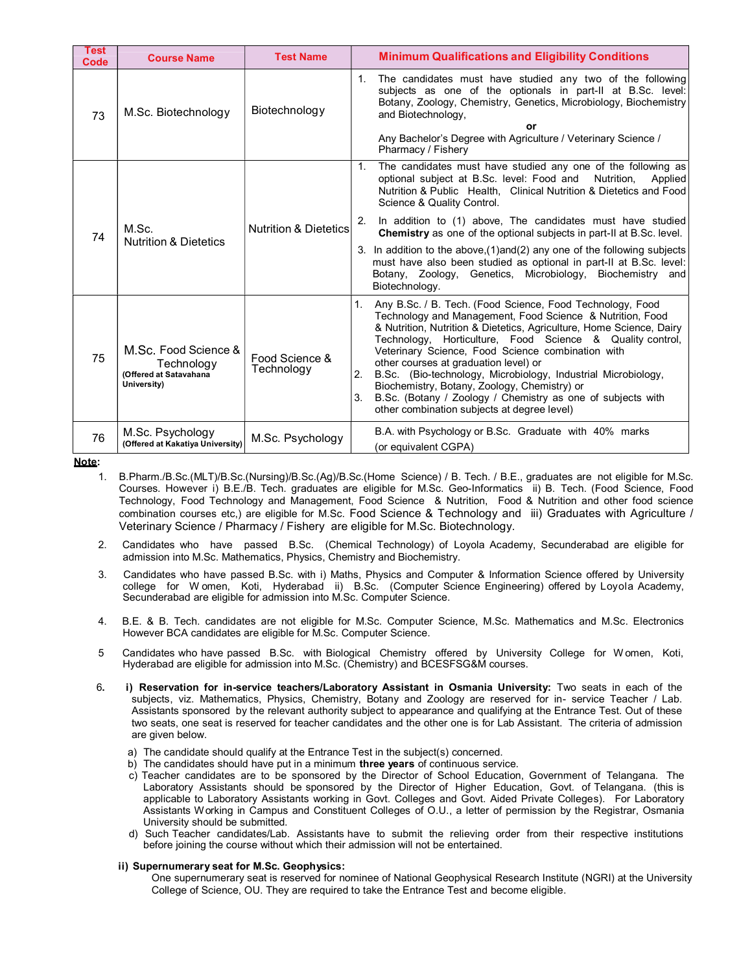| <b>Test</b><br>Code | <b>Course Name</b>                                                          | <b>Test Name</b>                 |               | <b>Minimum Qualifications and Eligibility Conditions</b>                                                                                                                                                                                                                                                                                                                                                                                                                                                                                                                                    |
|---------------------|-----------------------------------------------------------------------------|----------------------------------|---------------|---------------------------------------------------------------------------------------------------------------------------------------------------------------------------------------------------------------------------------------------------------------------------------------------------------------------------------------------------------------------------------------------------------------------------------------------------------------------------------------------------------------------------------------------------------------------------------------------|
| 73                  | M.Sc. Biotechnology                                                         | Biotechnology                    | 1.            | The candidates must have studied any two of the following<br>subjects as one of the optionals in part-II at B.Sc. level:<br>Botany, Zoology, Chemistry, Genetics, Microbiology, Biochemistry<br>and Biotechnology,<br>or<br>Any Bachelor's Degree with Agriculture / Veterinary Science /<br>Pharmacy / Fishery                                                                                                                                                                                                                                                                             |
| 74                  | M.Sc.                                                                       | <b>Nutrition &amp; Dietetics</b> | $1_{-}$<br>2. | The candidates must have studied any one of the following as<br>optional subject at B.Sc. level: Food and Nutrition,<br>Applied<br>Nutrition & Public Health, Clinical Nutrition & Dietetics and Food<br>Science & Quality Control.<br>In addition to (1) above, The candidates must have studied<br><b>Chemistry</b> as one of the optional subjects in part-II at B.Sc. level.                                                                                                                                                                                                            |
|                     | <b>Nutrition &amp; Dietetics</b>                                            |                                  |               | 3. In addition to the above, (1) and (2) any one of the following subjects<br>must have also been studied as optional in part-II at B.Sc. level:<br>Botany, Zoology, Genetics, Microbiology, Biochemistry and<br>Biotechnology.                                                                                                                                                                                                                                                                                                                                                             |
| 75                  | M.Sc. Food Science &<br>Technology<br>(Offered at Satavahana<br>University) | Food Science &<br>Technology     | 2.<br>3.      | 1. Any B.Sc. / B. Tech. (Food Science, Food Technology, Food<br>Technology and Management, Food Science & Nutrition, Food<br>& Nutrition, Nutrition & Dietetics, Agriculture, Home Science, Dairy<br>Technology, Horticulture, Food Science & Quality control,<br>Veterinary Science, Food Science combination with<br>other courses at graduation level) or<br>B.Sc. (Bio-technology, Microbiology, Industrial Microbiology,<br>Biochemistry, Botany, Zoology, Chemistry) or<br>B.Sc. (Botany / Zoology / Chemistry as one of subjects with<br>other combination subjects at degree level) |
| 76                  | M.Sc. Psychology<br>(Offered at Kakatiya University)                        | M.Sc. Psychology                 |               | B.A. with Psychology or B.Sc. Graduate with 40% marks<br>(or equivalent CGPA)                                                                                                                                                                                                                                                                                                                                                                                                                                                                                                               |

Note:

- 1. B.Pharm./B.Sc.(MLT)/B.Sc.(Nursing)/B.Sc.(Ag)/B.Sc.(Home Science) / B. Tech. / B.E., graduates are not eligible for M.Sc. Courses. However i) B.E./B. Tech. graduates are eligible for M.Sc. Geo-Informatics ii) B. Tech. (Food Science, Food Technology, Food Technology and Management, Food Science & Nutrition, Food & Nutrition and other food science combination courses etc,) are eligible for M.Sc. Food Science & Technology and iii) Graduates with Agriculture / Veterinary Science / Pharmacy / Fishery are eligible for M.Sc. Biotechnology.
- 2. Candidates who have passed B.Sc. (Chemical Technology) of Loyola Academy, Secunderabad are eligible for admission into M.Sc. Mathematics, Physics, Chemistry and Biochemistry.
- 3. Candidates who have passed B.Sc. with i) Maths, Physics and Computer & Information Science offered by University college for W omen, Koti, Hyderabad ii) B.Sc. (Computer Science Engineering) offered by Loyola Academy, Secunderabad are eligible for admission into M.Sc. Computer Science.
- 4. B.E. & B. Tech. candidates are not eligible for M.Sc. Computer Science, M.Sc. Mathematics and M.Sc. Electronics However BCA candidates are eligible for M.Sc. Computer Science.
- 5 Candidates who have passed B.Sc. with Biological Chemistry offered by University College for W omen, Koti, Hyderabad are eligible for admission into M.Sc. (Chemistry) and BCESFSG&M courses.
- 6. i) Reservation for in-service teachers/Laboratory Assistant in Osmania University: Two seats in each of the subjects, viz. Mathematics, Physics, Chemistry, Botany and Zoology are reserved for in- service Teacher / Lab. Assistants sponsored by the relevant authority subject to appearance and qualifying at the Entrance Test. Out of these two seats, one seat is reserved for teacher candidates and the other one is for Lab Assistant. The criteria of admission are given below.
	- a) The candidate should qualify at the Entrance Test in the subject(s) concerned.
	- b) The candidates should have put in a minimum three years of continuous service.
	- c) Teacher candidates are to be sponsored by the Director of School Education, Government of Telangana. The Laboratory Assistants should be sponsored by the Director of Higher Education, Govt. of Telangana. (this is applicable to Laboratory Assistants working in Govt. Colleges and Govt. Aided Private Colleges). For Laboratory Assistants W orking in Campus and Constituent Colleges of O.U., a letter of permission by the Registrar, Osmania University should be submitted.
	- d) Such Teacher candidates/Lab. Assistants have to submit the relieving order from their respective institutions before joining the course without which their admission will not be entertained.

#### ii) Supernumerary seat for M.Sc. Geophysics:

One supernumerary seat is reserved for nominee of National Geophysical Research Institute (NGRI) at the University College of Science, OU. They are required to take the Entrance Test and become eligible.